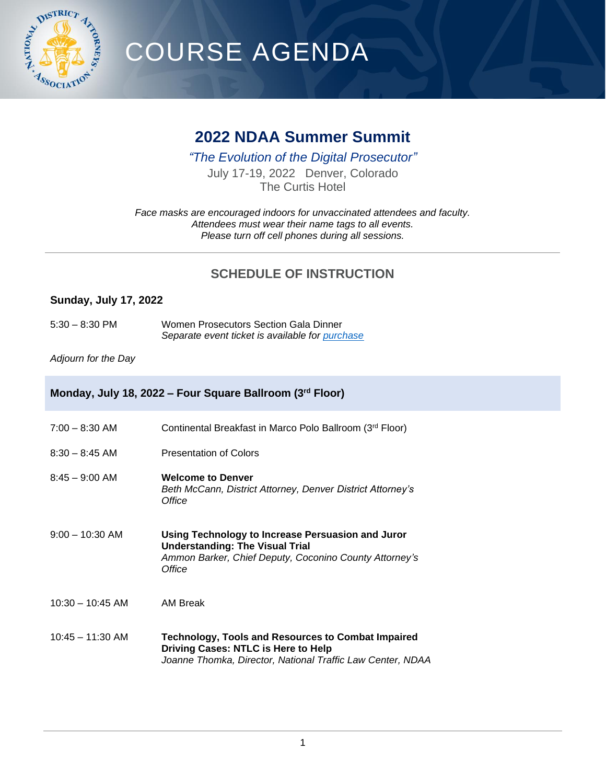

# COURSE AGENDA

## **2022 NDAA Summer Summit**

*"The Evolution of the Digital Prosecutor"*

July 17-19, 2022 Denver, Colorado The Curtis Hotel

*Face masks are encouraged indoors for unvaccinated attendees and faculty. Attendees must wear their name tags to all events. Please turn off cell phones during all sessions.*

### **SCHEDULE OF INSTRUCTION**

#### **Sunday, July 17, 2022**

5:30 – 8:30 PM Women Prosecutors Section Gala Dinner *Separate event ticket is available for [purchase](https://ndaa.site-ym.com/events/register.aspx?id=1569546)*

*Adjourn for the Day*

#### **Monday, July 18, 2022 – Four Square Ballroom (3rd Floor)**

| $7:00 - 8:30$ AM   | Continental Breakfast in Marco Polo Ballroom (3rd Floor)                                                                                                        |
|--------------------|-----------------------------------------------------------------------------------------------------------------------------------------------------------------|
| $8:30 - 8:45$ AM   | <b>Presentation of Colors</b>                                                                                                                                   |
| $8:45 - 9:00$ AM   | <b>Welcome to Denver</b><br>Beth McCann, District Attorney, Denver District Attorney's<br>Office                                                                |
| $9:00 - 10:30$ AM  | Using Technology to Increase Persuasion and Juror<br><b>Understanding: The Visual Trial</b><br>Ammon Barker, Chief Deputy, Coconino County Attorney's<br>Office |
| $10:30 - 10:45$ AM | AM Break                                                                                                                                                        |
| $10:45 - 11:30$ AM | Technology, Tools and Resources to Combat Impaired<br>Driving Cases: NTLC is Here to Help<br>Joanne Thomka, Director, National Traffic Law Center, NDAA         |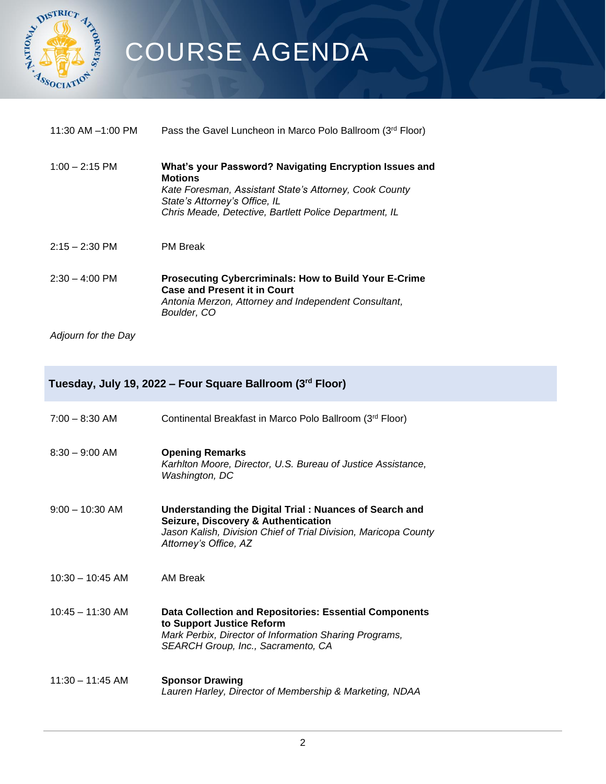

# COURSE AGENDA

| 11:30 AM $-1:00$ PM | Pass the Gavel Luncheon in Marco Polo Ballroom (3rd Floor)                                                                                                                                                                    |
|---------------------|-------------------------------------------------------------------------------------------------------------------------------------------------------------------------------------------------------------------------------|
| $1:00 - 2:15$ PM    | What's your Password? Navigating Encryption Issues and<br><b>Motions</b><br>Kate Foresman, Assistant State's Attorney, Cook County<br>State's Attorney's Office, IL<br>Chris Meade, Detective, Bartlett Police Department, IL |
| $2:15 - 2:30$ PM    | <b>PM Break</b>                                                                                                                                                                                                               |
| $2:30 - 4:00$ PM    | <b>Prosecuting Cybercriminals: How to Build Your E-Crime</b><br><b>Case and Present it in Court</b><br>Antonia Merzon, Attorney and Independent Consultant,<br>Boulder, CO                                                    |
| Adjourn for the Day |                                                                                                                                                                                                                               |

## **Tuesday, July 19, 2022 – Four Square Ballroom (3rd Floor)**

| $7:00 - 8:30$ AM   | Continental Breakfast in Marco Polo Ballroom (3 <sup>rd</sup> Floor)                                                                                                                      |
|--------------------|-------------------------------------------------------------------------------------------------------------------------------------------------------------------------------------------|
| $8:30 - 9:00$ AM   | <b>Opening Remarks</b><br>Karhiton Moore, Director, U.S. Bureau of Justice Assistance,<br>Washington, DC                                                                                  |
| $9:00 - 10:30$ AM  | Understanding the Digital Trial: Nuances of Search and<br>Seizure, Discovery & Authentication<br>Jason Kalish, Division Chief of Trial Division, Maricopa County<br>Attorney's Office, AZ |
| $10:30 - 10:45$ AM | AM Break                                                                                                                                                                                  |
| $10:45 - 11:30$ AM | Data Collection and Repositories: Essential Components<br>to Support Justice Reform<br>Mark Perbix, Director of Information Sharing Programs,<br>SEARCH Group, Inc., Sacramento, CA       |
| $11:30 - 11:45$ AM | <b>Sponsor Drawing</b><br>Lauren Harley, Director of Membership & Marketing, NDAA                                                                                                         |